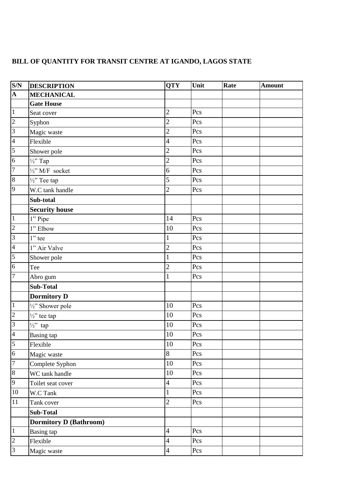## **BILL OF QUANTITY FOR TRANSIT CENTRE AT IGANDO, LAGOS STATE**

| S/N                     | <b>DESCRIPTION</b>            | <b>QTY</b>     | Unit | Rate | <b>Amount</b> |
|-------------------------|-------------------------------|----------------|------|------|---------------|
| $\overline{\mathbf{A}}$ | <b>MECHANICAL</b>             |                |      |      |               |
|                         | <b>Gate House</b>             |                |      |      |               |
| $\overline{1}$          | Seat cover                    | $\overline{c}$ | Pcs  |      |               |
| $\overline{c}$          | Syphon                        | $\overline{c}$ | Pcs  |      |               |
| $\overline{3}$          | Magic waste                   | $\overline{c}$ | Pcs  |      |               |
| $\overline{4}$          | Flexible                      | $\overline{4}$ | Pcs  |      |               |
| 5                       | Shower pole                   | $\overline{c}$ | Pcs  |      |               |
| 6                       | $\frac{1}{2}$ Tap             | $\overline{c}$ | Pcs  |      |               |
| $\overline{7}$          | $\frac{1}{2}$ " M/F socket    | 6              | Pcs  |      |               |
| $\overline{8}$          | $\frac{1}{2}$ " Tee tap       | 5              | Pcs  |      |               |
| $\overline{9}$          | W.C tank handle               | $\overline{2}$ | Pcs  |      |               |
|                         | Sub-total                     |                |      |      |               |
|                         | <b>Security house</b>         |                |      |      |               |
| $\overline{1}$          | 1" Pipe                       | 14             | Pcs  |      |               |
| $\overline{c}$          | 1" Elbow                      | 10             | Pcs  |      |               |
| $\overline{3}$          | $1$ " tee                     | $\mathbf{1}$   | Pcs  |      |               |
| $\overline{4}$          | 1" Air Valve                  | $\overline{c}$ | Pcs  |      |               |
| $\overline{5}$          | Shower pole                   | $\mathbf{1}$   | Pcs  |      |               |
| 6                       | Tee                           | $\overline{c}$ | Pcs  |      |               |
| 7                       | Abro gum                      | 1              | Pcs  |      |               |
|                         | <b>Sub-Total</b>              |                |      |      |               |
|                         | <b>Dormitory D</b>            |                |      |      |               |
| $\overline{1}$          | 1/2" Shower pole              | 10             | Pcs  |      |               |
| $\overline{2}$          | $\frac{1}{2}$ " tee tap       | 10             | Pcs  |      |               |
| 3                       | $\frac{1}{2}$ tap             | 10             | Pcs  |      |               |
| $\overline{4}$          | <b>Basing</b> tap             | 10             | Pcs  |      |               |
| $\vert 5 \vert$         | Flexible                      | 10             | Pcs  |      |               |
| $\overline{6}$          | Magic waste                   | 8              | Pcs  |      |               |
| $\overline{7}$          | Complete Syphon               | 10             | Pcs  |      |               |
| 8                       | WC tank handle                | 10             | Pcs  |      |               |
| 9                       | Toilet seat cover             | $\overline{4}$ | Pcs  |      |               |
| $10\,$                  | W.C Tank                      | $\mathbf{1}$   | Pcs  |      |               |
| 11                      | Tank cover                    | $\overline{2}$ | Pcs  |      |               |
|                         | <b>Sub-Total</b>              |                |      |      |               |
|                         | <b>Dormitory D (Bathroom)</b> |                |      |      |               |
| $\vert$ 1               | <b>Basing tap</b>             | $\overline{4}$ | Pcs  |      |               |
| $\overline{2}$          | Flexible                      | $\overline{4}$ | Pcs  |      |               |
| 3                       | Magic waste                   | $\overline{4}$ | Pcs  |      |               |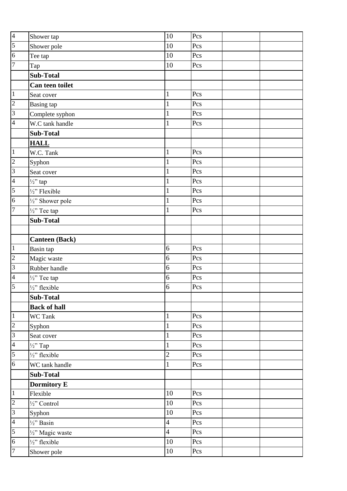| $\overline{\mathcal{A}}$ | Shower tap               | 10              | Pcs |
|--------------------------|--------------------------|-----------------|-----|
| $\overline{5}$           | Shower pole              | 10              | Pcs |
| $\overline{6}$           | Tee tap                  | 10              | Pcs |
| $\overline{7}$           | Tap                      | 10              | Pcs |
|                          | <b>Sub-Total</b>         |                 |     |
|                          | Can teen toilet          |                 |     |
| $\overline{1}$           | Seat cover               | $\mathbf{1}$    | Pcs |
| $\frac{2}{3}$            | <b>Basing</b> tap        | $\mathbf{1}$    | Pcs |
|                          | Complete syphon          | $\mathbf{1}$    | Pcs |
| $\overline{4}$           | W.C tank handle          | $\mathbf{1}$    | Pcs |
|                          | <b>Sub-Total</b>         |                 |     |
|                          | <b>HALL</b>              |                 |     |
| $\overline{1}$           | W.C. Tank                | $\mathbf{1}$    | Pcs |
| $\overline{2}$           | Syphon                   | $\mathbf{1}$    | Pcs |
| $\overline{\mathbf{3}}$  | Seat cover               | $\mathbf{1}$    | Pcs |
| $\overline{4}$           | $\frac{1}{2}$ ' tap      | $\mathbf{1}$    | Pcs |
| 5                        | 1/2" Flexible            | $\mathbf{1}$    | Pcs |
| $\overline{6}$           | 1/2" Shower pole         | 1               | Pcs |
| $\overline{7}$           | $\frac{1}{2}$ " Tee tap  | $\mathbf{1}$    | Pcs |
|                          | <b>Sub-Total</b>         |                 |     |
|                          |                          |                 |     |
|                          | <b>Canteen (Back)</b>    |                 |     |
| $\overline{1}$           | Basin tap                | 6               | Pcs |
| $\overline{\mathbf{c}}$  | Magic waste              | 6               | Pcs |
| $\overline{3}$           | Rubber handle            | 6               | Pcs |
| $\overline{4}$           | $\frac{1}{2}$ " Tee tap  | 6               | Pcs |
| 5                        | $\frac{1}{2}$ " flexible | 6               | Pcs |
|                          | Sub-Total                |                 |     |
|                          | <b>Back of hall</b>      |                 |     |
| $\overline{1}$           | WC Tank                  | 1               | Pcs |
| $\overline{\mathbf{c}}$  | Syphon                   | $\mathbf{1}$    | Pcs |
| $\overline{3}$           | Seat cover               | 1               | Pcs |
| $\overline{4}$           | $\frac{1}{2}$ Tap        | $\mathbf{1}$    | Pcs |
| $\overline{5}$           | $\frac{1}{2}$ " flexible | $\overline{c}$  | Pcs |
| $\overline{6}$           | WC tank handle           | $\mathbf{1}$    | Pcs |
|                          | <b>Sub-Total</b>         |                 |     |
|                          | <b>Dormitory E</b>       |                 |     |
| $\overline{1}$           | Flexible                 | $10\,$          | Pcs |
| $\overline{c}$           | 1/2" Control             | $10\,$          | Pcs |
| $\overline{3}$           | Syphon                   | 10              | Pcs |
| $\overline{4}$           | $\frac{1}{2}$ Basin      | $\overline{4}$  | Pcs |
| 5                        | 1/2" Magic waste         | $\overline{4}$  | Pcs |
| $\overline{6}$           | $\frac{1}{2}$ " flexible | $\overline{10}$ | Pcs |
| $\overline{7}$           | Shower pole              | $10\,$          | Pcs |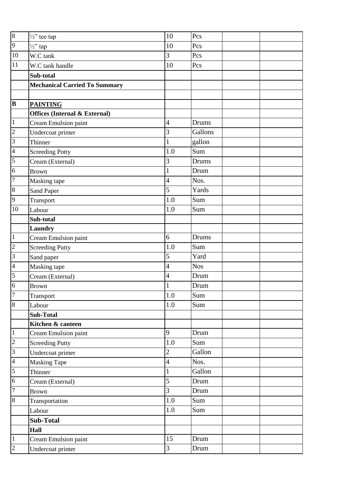| $\overline{8}$  | $\frac{1}{2}$ " tee tap                  | 10             | Pcs        |
|-----------------|------------------------------------------|----------------|------------|
| $\overline{9}$  | $\frac{1}{2}$ ' tap                      | 10             | Pcs        |
| 10              | W.C tank                                 | 3              | Pcs        |
| 11              | W.C tank handle                          | 10             | Pcs        |
|                 | Sub-total                                |                |            |
|                 | <b>Mechanical Carried To Summary</b>     |                |            |
|                 |                                          |                |            |
| B               | <b>PAINTING</b>                          |                |            |
|                 | <b>Offices (Internal &amp; External)</b> |                |            |
| $\vert$ 1       | Cream Emulsion paint                     | $\overline{4}$ | Drums      |
| $\overline{2}$  | Undercoat primer                         | 3              | Gallons    |
| $\mathfrak{Z}$  | Thinner                                  | 1              | gallon     |
| $\overline{4}$  | <b>Screeding Potty</b>                   | 1.0            | Sum        |
| $5\overline{)}$ | Cream (External)                         | 3              | Drums      |
| 6               | <b>Brown</b>                             | $\mathbf{1}$   | Drum       |
| $\overline{7}$  | Masking tape                             | $\overline{4}$ | Nos.       |
| $\overline{8}$  | Sand Paper                               | $\overline{5}$ | Yards      |
| 9               | Transport                                | 1.0            | Sum        |
| 10              | Labour                                   | 1.0            | Sum        |
|                 | Sub-total                                |                |            |
|                 | Laundry                                  |                |            |
| $\vert$ 1       | Cream Emulsion paint                     | 6              | Drums      |
| $\overline{c}$  | <b>Screeding Putty</b>                   | 1.0            | Sum        |
| 3               | Sand paper                               | 5              | Yard       |
| $\overline{4}$  | Masking tape                             | $\overline{4}$ | <b>Nos</b> |
| $\overline{5}$  | Cream (External)                         | $\overline{4}$ | Drum       |
| 6               | <b>Brown</b>                             | 1              | Drum       |
| $\overline{7}$  | Transport                                | 1.0            | Sum        |
| $\overline{8}$  | Labour                                   | 1.0            | Sum        |
|                 | <b>Sub-Total</b>                         |                |            |
|                 | Kitchen & canteen                        |                |            |
| $\overline{1}$  | Cream Emulsion paint                     | 9              | Drum       |
| $\overline{c}$  | <b>Screeding Putty</b>                   | $1.0\,$        | Sum        |
| $\overline{3}$  | Undercoat primer                         | $\sqrt{2}$     | Gallon     |
| $\overline{4}$  | <b>Masking Tape</b>                      | $\overline{4}$ | Nos.       |
| 5               | Thinner                                  | $\mathbf{1}$   | Gallon     |
| $\sqrt{6}$      | Cream (External)                         | 5              | Drum       |
| $\overline{7}$  | <b>Brown</b>                             | 3              | Drum       |
| $\bf 8$         | Transportation                           | $1.0\,$        | Sum        |
|                 | Labour                                   | $1.0\,$        | Sum        |
|                 | Sub-Total                                |                |            |
|                 | <b>Hall</b>                              |                |            |
| $\mathbf{1}$    | Cream Emulsion paint                     | 15             | Drum       |
| $\overline{c}$  | Undercoat printer                        | $\overline{3}$ | Drum       |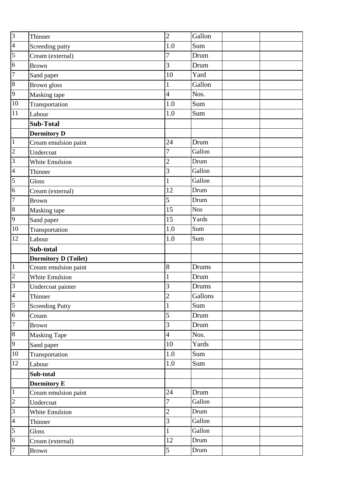| $\frac{3}{4}$                    | Thinner                     | $\overline{c}$ | Gallon     |
|----------------------------------|-----------------------------|----------------|------------|
|                                  | Screeding putty             | 1.0            | Sum        |
| 5                                | Cream (external)            | 7              | Drum       |
| $\overline{6}$                   | <b>Brown</b>                | 3              | Drum       |
| $\overline{7}$                   | Sand paper                  | 10             | Yard       |
| $\overline{8}$                   | Brown gloss                 | 1              | Gallon     |
| 9                                | Masking tape                | 4              | Nos.       |
| 10                               | Transportation              | 1.0            | Sum        |
| 11                               | Labour                      | $1.0\,$        | Sum        |
|                                  | <b>Sub-Total</b>            |                |            |
|                                  | <b>Dormitory D</b>          |                |            |
| $\overline{1}$                   | Cream emulsion paint        | 24             | Drum       |
| $\overline{c}$                   | Undercoat                   | 7              | Gallon     |
| $\overline{3}$                   | White Emulsion              | $\overline{c}$ | Drum       |
| $\overline{4}$                   | Thinner                     | 3              | Gallon     |
| 5                                | Gloss                       | 1              | Gallon     |
| $\overline{6}$                   | Cream (external)            | 12             | Drum       |
| $\overline{7}$                   | <b>Brown</b>                | 5              | Drum       |
| $\overline{8}$                   | Masking tape                | 15             | <b>Nos</b> |
| $\overline{9}$                   | Sand paper                  | 15             | Yards      |
| 10                               | Transportation              | 1.0            | Sum        |
| 12                               | Labour                      | 1.0            | Sum        |
|                                  |                             |                |            |
|                                  | Sub-total                   |                |            |
|                                  | <b>Dormitory D (Toilet)</b> |                |            |
| $\overline{1}$                   | Cream emulsion paint        | $8\,$          | Drums      |
| $\overline{c}$                   | White Emulsion              | $\mathbf 1$    | Drum       |
| $\overline{3}$                   | Undercoat painter           | 3              | Drums      |
| $\overline{a}$                   | Thinner                     | $\overline{2}$ | Gallons    |
| $\overline{5}$                   | <b>Screeding Putty</b>      | 1              | Sum        |
| $\overline{6}$                   | Cream                       | 5              | Drum       |
| $\overline{7}$                   | <b>Brown</b>                | 3              | Drum       |
| $\overline{8}$                   | <b>Masking Tape</b>         | $\overline{4}$ | Nos.       |
| $\overline{9}$                   | Sand paper                  | 10             | Yards      |
| 10                               | Transportation              | $1.0\,$        | Sum        |
| 12                               | Labour                      | $1.0\,$        | Sum        |
|                                  | Sub-total                   |                |            |
|                                  | Dormitory E                 |                |            |
| $\overline{1}$                   | Cream emulsion paint        | 24             | Drum       |
| $\overline{c}$                   | Undercoat                   | 7              | Gallon     |
| $\overline{3}$                   | White Emulsion              | $\overline{c}$ | Drum       |
| $\overline{4}$                   | Thinner                     | 3              | Gallon     |
| 5                                | Gloss                       | $\mathbf{1}$   | Gallon     |
| $\overline{6}$<br>$\overline{7}$ | Cream (external)            | 12             | Drum       |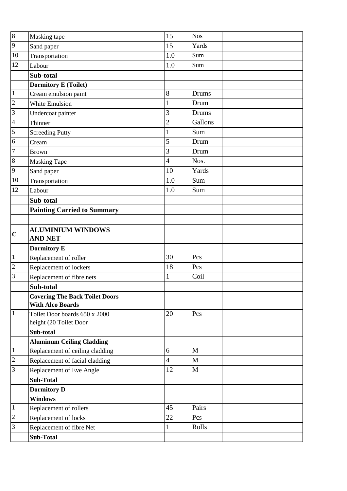| $\overline{8}$ | Masking tape                                                        | 15                       | <b>Nos</b> |
|----------------|---------------------------------------------------------------------|--------------------------|------------|
| $\overline{9}$ | Sand paper                                                          | 15                       | Yards      |
| 10             | Transportation                                                      | 1.0                      | Sum        |
| 12             | Labour                                                              | 1.0                      | Sum        |
|                | Sub-total                                                           |                          |            |
|                | <b>Dormitory E (Toilet)</b>                                         |                          |            |
| $\overline{1}$ | Cream emulsion paint                                                | 8                        | Drums      |
| $\overline{c}$ | <b>White Emulsion</b>                                               | $\mathbf{1}$             | Drum       |
| $\overline{3}$ | Undercoat painter                                                   | 3                        | Drums      |
| $\overline{4}$ | Thinner                                                             | $\overline{c}$           | Gallons    |
| 5              | <b>Screeding Putty</b>                                              | $\mathbf{1}$             | Sum        |
| $\overline{6}$ | Cream                                                               | 5                        | Drum       |
| $\overline{7}$ | <b>Brown</b>                                                        | 3                        | Drum       |
| $\overline{8}$ | <b>Masking Tape</b>                                                 | $\overline{\mathcal{L}}$ | Nos.       |
| 9              | Sand paper                                                          | 10                       | Yards      |
| 10             | Transportation                                                      | 1.0                      | Sum        |
| 12             | Labour                                                              | 1.0                      | Sum        |
|                | Sub-total                                                           |                          |            |
|                | <b>Painting Carried to Summary</b>                                  |                          |            |
|                |                                                                     |                          |            |
| $\mathbf C$    | <b>ALUMINIUM WINDOWS</b><br><b>AND NET</b>                          |                          |            |
|                | <b>Dormitory E</b>                                                  |                          |            |
| $\boxed{1}$    | Replacement of roller                                               | 30                       | Pcs        |
| $\overline{2}$ | Replacement of lockers                                              | 18                       | Pcs        |
| $\overline{3}$ | Replacement of fibre nets                                           | $\mathbf{1}$             | Coil       |
|                | Sub-total                                                           |                          |            |
|                | <b>Covering The Back Toilet Doors</b>                               |                          |            |
|                | <b>With Alco Boards</b>                                             |                          |            |
| $\overline{1}$ | Toilet Door boards 650 x 2000                                       | 20                       | Pcs        |
|                | height (20 Toilet Door                                              |                          |            |
|                | Sub-total                                                           |                          |            |
| $\overline{1}$ | <b>Aluminum Ceiling Cladding</b><br>Replacement of ceiling cladding | 6                        | M          |
| $\overline{c}$ | Replacement of facial cladding                                      | $\overline{4}$           | M          |
| $\overline{3}$ | Replacement of Eve Angle                                            | 12                       | M          |
|                | <b>Sub-Total</b>                                                    |                          |            |
|                | <b>Dormitory D</b>                                                  |                          |            |
|                | <b>Windows</b>                                                      |                          |            |
| $\overline{1}$ | Replacement of rollers                                              | 45                       | Pairs      |
| $\overline{2}$ | Replacement of locks                                                | 22                       | Pcs        |
| $\overline{3}$ | Replacement of fibre Net                                            | $\mathbf{1}$             | Rolls      |
|                | <b>Sub-Total</b>                                                    |                          |            |
|                |                                                                     |                          |            |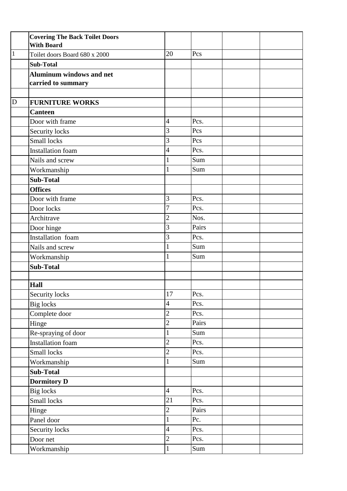|                | <b>Covering The Back Toilet Doors</b><br><b>With Board</b> |                |       |  |
|----------------|------------------------------------------------------------|----------------|-------|--|
| $\mathbf{1}$   | Toilet doors Board 680 x 2000                              | 20             | Pcs   |  |
|                | <b>Sub-Total</b>                                           |                |       |  |
|                | <b>Aluminum windows and net</b>                            |                |       |  |
|                | carried to summary                                         |                |       |  |
|                |                                                            |                |       |  |
| $\overline{D}$ | <b>FURNITURE WORKS</b>                                     |                |       |  |
|                | <b>Canteen</b>                                             |                |       |  |
|                | Door with frame                                            | 4              | Pcs.  |  |
|                | Security locks                                             | 3              | Pcs   |  |
|                | Small locks                                                | 3              | Pcs   |  |
|                | <b>Installation</b> foam                                   | 4              | Pcs.  |  |
|                | Nails and screw                                            | $\mathbf{1}$   | Sum   |  |
|                | Workmanship                                                | $\mathbf{1}$   | Sum   |  |
|                | <b>Sub-Total</b>                                           |                |       |  |
|                | <b>Offices</b>                                             |                |       |  |
|                | Door with frame                                            | 3              | Pcs.  |  |
|                | Door locks                                                 | 7              | Pcs.  |  |
|                | Architrave                                                 | $\overline{c}$ | Nos.  |  |
|                | Door hinge                                                 | 3              | Pairs |  |
|                | Installation foam                                          | 3              | Pcs.  |  |
|                | Nails and screw                                            | $\mathbf{1}$   | Sum   |  |
|                | Workmanship                                                | $\mathbf{1}$   | Sum   |  |
|                | <b>Sub-Total</b>                                           |                |       |  |
|                |                                                            |                |       |  |
|                | Hall                                                       |                |       |  |
|                | Security locks                                             | $17\,$         | Pcs.  |  |
|                | <b>Big</b> locks                                           | 4              | Pcs.  |  |
|                | Complete door                                              | $\overline{2}$ | Pcs.  |  |
|                | Hinge                                                      | $\overline{c}$ | Pairs |  |
|                | Re-spraying of door                                        | $\mathbf{1}$   | Sum   |  |
|                | Installation foam                                          | $\overline{c}$ | Pcs.  |  |
|                | Small locks                                                | $\overline{c}$ | Pcs.  |  |
|                | Workmanship                                                | $\mathbf{1}$   | Sum   |  |
|                | <b>Sub-Total</b>                                           |                |       |  |
|                | <b>Dormitory D</b>                                         |                |       |  |
|                | <b>Big</b> locks                                           | $\overline{4}$ | Pcs.  |  |
|                | Small locks                                                | 21             | Pcs.  |  |
|                | Hinge                                                      | $\overline{c}$ | Pairs |  |
|                | Panel door                                                 | $\mathbf{1}$   | Pc.   |  |
|                | Security locks                                             | $\overline{4}$ | Pcs.  |  |
|                | Door net                                                   | $\overline{c}$ | Pcs.  |  |
|                | Workmanship                                                | $\mathbf{1}$   | Sum   |  |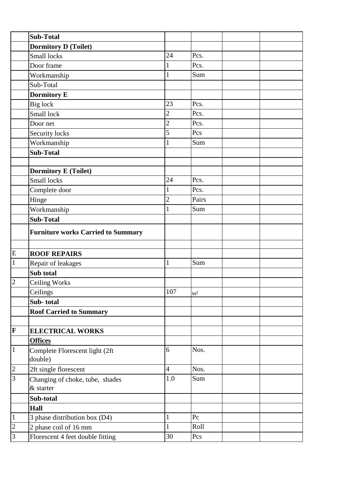|                | <b>Sub-Total</b>                          |                |         |
|----------------|-------------------------------------------|----------------|---------|
|                | <b>Dormitory D (Toilet)</b>               |                |         |
|                | Small locks                               | 24             | Pcs.    |
|                | Door frame                                | 1              | Pcs.    |
|                | Workmanship                               | $\mathbf{1}$   | Sum     |
|                | Sub-Total                                 |                |         |
|                | <b>Dormitory E</b>                        |                |         |
|                | Big lock                                  | 23             | Pcs.    |
|                | Small lock                                | $\overline{2}$ | Pcs.    |
|                | Door net                                  | $\overline{c}$ | Pcs.    |
|                | Security locks                            | 5              | Pcs     |
|                | Workmanship                               | 1              | Sum     |
|                | <b>Sub-Total</b>                          |                |         |
|                |                                           |                |         |
|                | <b>Dormitory E (Toilet)</b>               |                |         |
|                | Small locks                               | 24             | Pcs.    |
|                | Complete door                             | $\mathbf{1}$   | Pcs.    |
|                | Hinge                                     | $\overline{c}$ | Pairs   |
|                | Workmanship                               | 1              | Sum     |
|                | <b>Sub-Total</b>                          |                |         |
|                | <b>Furniture works Carried to Summary</b> |                |         |
|                |                                           |                |         |
| E              | <b>ROOF REPAIRS</b>                       |                |         |
| $\,1\,$        | Repair of leakages                        | 1              | Sum     |
|                | Sub total                                 |                |         |
| $\overline{2}$ | Ceiling Works                             |                |         |
|                | Ceilings                                  | 107            | $M^2$   |
|                | Sub-total                                 |                |         |
|                | <b>Roof Carried to Summary</b>            |                |         |
|                |                                           |                |         |
| F              | <b>ELECTRICAL WORKS</b>                   |                |         |
|                | <b>Offices</b>                            |                |         |
| $\vert$ 1      | Complete Florescent light (2ft            | 6              | Nos.    |
|                | double)                                   |                |         |
| $\overline{c}$ | 2ft single florescent                     | $\overline{4}$ | Nos.    |
| $\overline{3}$ | Changing of choke, tube, shades           | 1.0            | Sum     |
|                | & starter                                 |                |         |
|                | Sub-total                                 |                |         |
|                | Hall                                      |                |         |
| $\mathbf{1}$   | 3 phase distribution box (D4)             | $\mathbf{1}$   | $P_{C}$ |
| $\overline{c}$ | 2 phase coil of 16 mm                     | $\mathbf{1}$   | Roll    |
| $\overline{3}$ | Florescent 4 feet double fitting          | 30             | Pcs     |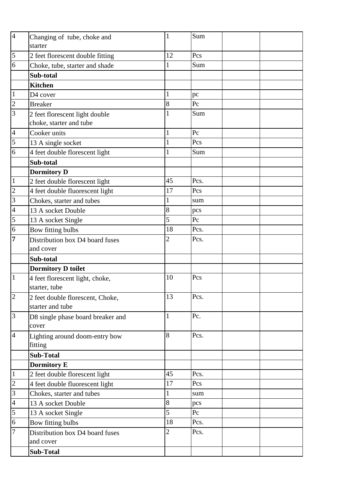| $\overline{4}$ | Changing of tube, choke and       | 1              | Sum     |
|----------------|-----------------------------------|----------------|---------|
|                | starter                           |                |         |
| 5              | 2 feet florescent double fitting  | 12             | Pcs     |
| 6              | Choke, tube, starter and shade    | 1              | Sum     |
|                | Sub-total                         |                |         |
|                | <b>Kitchen</b>                    |                |         |
| $\vert$ 1      | D4 cover                          | $\mathbf{1}$   | pc      |
| $\overline{c}$ | <b>Breaker</b>                    | 8              | Pc      |
| $\overline{3}$ | 2 feet florescent light double    | 1              | Sum     |
|                | choke, starter and tube           |                |         |
| $\overline{4}$ | Cooker units                      | $\mathbf{1}$   | Pc      |
| 5              | 13 A single socket                | $\mathbf{1}$   | Pcs     |
| 6              | 4 feet double florescent light    | $\mathbf{1}$   | Sum     |
|                | Sub-total                         |                |         |
|                | <b>Dormitory D</b>                |                |         |
| $\vert$ 1      | 2 feet double florescent light    | 45             | Pcs.    |
| $\overline{c}$ | 4 feet double fluorescent light   | 17             | Pcs     |
| 3              | Chokes, starter and tubes         | $\mathbf{1}$   | sum     |
| $\overline{4}$ | 13 A socket Double                | 8              | pcs     |
| 5              | 13 A socket Single                | 5              | $P_{C}$ |
| $\overline{6}$ | Bow fitting bulbs                 | 18             | Pcs.    |
| $\overline{7}$ | Distribution box D4 board fuses   | $\overline{2}$ | Pcs.    |
|                | and cover                         |                |         |
|                | Sub-total                         |                |         |
|                | <b>Dormitory D toilet</b>         |                |         |
| $\mathbf{1}$   | 4 feet florescent light, choke,   | 10             | Pcs     |
|                | starter, tube                     |                |         |
| $\overline{2}$ | 2 feet double florescent, Choke,  | 13             | Pcs.    |
|                | starter and tube                  |                |         |
| $\overline{3}$ | D8 single phase board breaker and | $\mathbf{1}$   | Pc.     |
|                | cover                             |                |         |
| $\overline{4}$ | Lighting around doom-entry bow    | 8              | Pcs.    |
|                | fitting                           |                |         |
|                | <b>Sub-Total</b>                  |                |         |
|                | <b>Dormitory E</b>                |                |         |
| $\vert$ 1      | 2 feet double florescent light    | 45             | Pcs.    |
| $\overline{c}$ | 4 feet double fluorescent light   | 17             | Pcs     |
| $\overline{3}$ | Chokes, starter and tubes         | $\mathbf{1}$   | sum     |
| $\overline{4}$ | 13 A socket Double                | 8              | pcs     |
| 5              | 13 A socket Single                | 5              | Pc      |
| 6              | Bow fitting bulbs                 | 18             | Pcs.    |
| 7              | Distribution box D4 board fuses   | $\sqrt{2}$     | Pcs.    |
|                | and cover                         |                |         |
|                | <b>Sub-Total</b>                  |                |         |